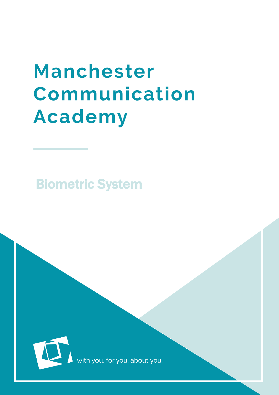## **Manchester** Communication **Academy**

Biometric System



with you, for you, about you.

 $\mathcal{B}(\mathcal{B})$  and  $\mathcal{B}(\mathcal{B})$  and  $\mathcal{B}(\mathcal{B})$  and  $\mathcal{B}(\mathcal{B})$  and  $\mathcal{B}(\mathcal{B})$  and  $\mathcal{B}(\mathcal{B})$